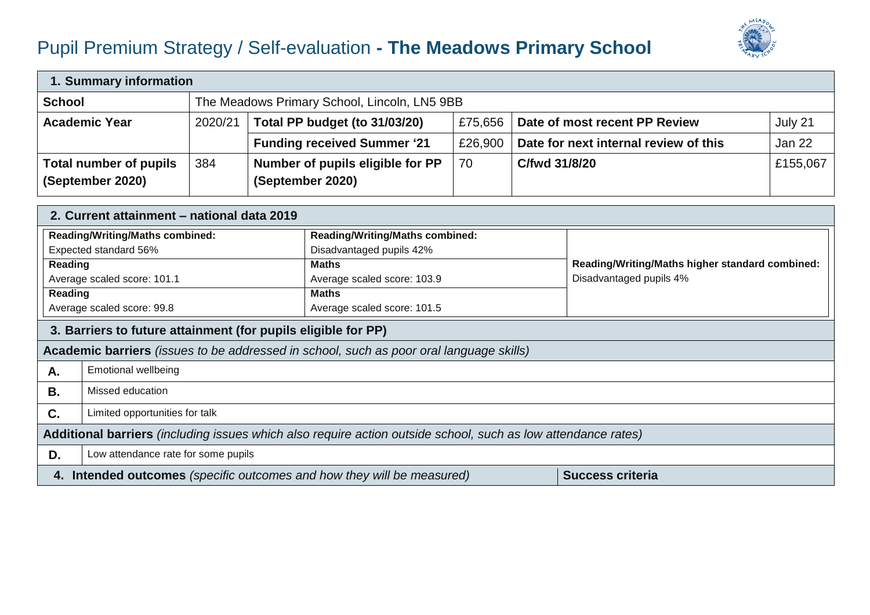## Pupil Premium Strategy / Self-evaluation **- The Meadows Primary School**



| 1. Summary information                            |         |                                                                                      |         |                                       |          |  |  |
|---------------------------------------------------|---------|--------------------------------------------------------------------------------------|---------|---------------------------------------|----------|--|--|
| <b>School</b>                                     |         | The Meadows Primary School, Lincoln, LN5 9BB                                         |         |                                       |          |  |  |
| <b>Academic Year</b>                              | 2020/21 | Total PP budget (to 31/03/20)<br>Date of most recent PP Review<br>July 21<br>£75,656 |         |                                       |          |  |  |
|                                                   |         | <b>Funding received Summer '21</b>                                                   | £26,900 | Date for next internal review of this | Jan 22   |  |  |
| <b>Total number of pupils</b><br>(September 2020) | 384     | Number of pupils eligible for PP<br>(September 2020)                                 | 70      | C/fwd 31/8/20                         | £155,067 |  |  |

|                                                                                                               | 2. Current attainment – national data 2019                                                        |                                        |                                                 |  |  |  |
|---------------------------------------------------------------------------------------------------------------|---------------------------------------------------------------------------------------------------|----------------------------------------|-------------------------------------------------|--|--|--|
| <b>Reading/Writing/Maths combined:</b>                                                                        |                                                                                                   | <b>Reading/Writing/Maths combined:</b> |                                                 |  |  |  |
| Expected standard 56%                                                                                         |                                                                                                   | Disadvantaged pupils 42%               |                                                 |  |  |  |
| Reading                                                                                                       |                                                                                                   | <b>Maths</b>                           | Reading/Writing/Maths higher standard combined: |  |  |  |
|                                                                                                               | Average scaled score: 101.1                                                                       | Average scaled score: 103.9            | Disadvantaged pupils 4%                         |  |  |  |
| Reading                                                                                                       |                                                                                                   | <b>Maths</b>                           |                                                 |  |  |  |
|                                                                                                               | Average scaled score: 99.8                                                                        | Average scaled score: 101.5            |                                                 |  |  |  |
|                                                                                                               | 3. Barriers to future attainment (for pupils eligible for PP)                                     |                                        |                                                 |  |  |  |
|                                                                                                               | Academic barriers (issues to be addressed in school, such as poor oral language skills)           |                                        |                                                 |  |  |  |
| А.                                                                                                            | <b>Emotional wellbeing</b>                                                                        |                                        |                                                 |  |  |  |
| В.                                                                                                            | Missed education                                                                                  |                                        |                                                 |  |  |  |
| C.                                                                                                            | Limited opportunities for talk                                                                    |                                        |                                                 |  |  |  |
| Additional barriers (including issues which also require action outside school, such as low attendance rates) |                                                                                                   |                                        |                                                 |  |  |  |
| D.                                                                                                            | Low attendance rate for some pupils                                                               |                                        |                                                 |  |  |  |
|                                                                                                               | 4. Intended outcomes (specific outcomes and how they will be measured)<br><b>Success criteria</b> |                                        |                                                 |  |  |  |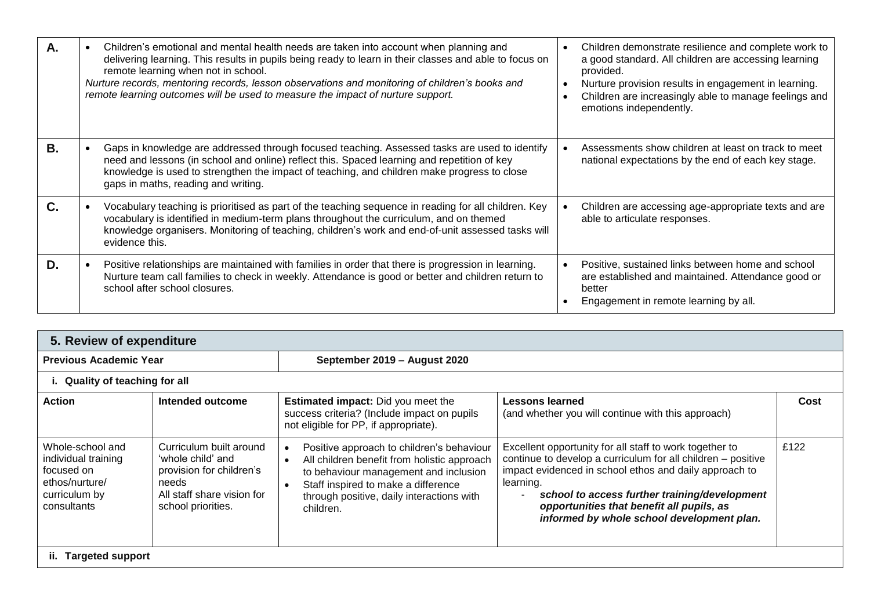| А. | Children's emotional and mental health needs are taken into account when planning and<br>delivering learning. This results in pupils being ready to learn in their classes and able to focus on<br>remote learning when not in school.<br>Nurture records, mentoring records, lesson observations and monitoring of children's books and<br>remote learning outcomes will be used to measure the impact of nurture support. | Children demonstrate resilience and complete work to<br>a good standard. All children are accessing learning<br>provided.<br>Nurture provision results in engagement in learning.<br>Children are increasingly able to manage feelings and<br>$\bullet$<br>emotions independently. |
|----|-----------------------------------------------------------------------------------------------------------------------------------------------------------------------------------------------------------------------------------------------------------------------------------------------------------------------------------------------------------------------------------------------------------------------------|------------------------------------------------------------------------------------------------------------------------------------------------------------------------------------------------------------------------------------------------------------------------------------|
| В. | Gaps in knowledge are addressed through focused teaching. Assessed tasks are used to identify<br>need and lessons (in school and online) reflect this. Spaced learning and repetition of key<br>knowledge is used to strengthen the impact of teaching, and children make progress to close<br>gaps in maths, reading and writing.                                                                                          | Assessments show children at least on track to meet<br>national expectations by the end of each key stage.                                                                                                                                                                         |
| C. | Vocabulary teaching is prioritised as part of the teaching sequence in reading for all children. Key<br>vocabulary is identified in medium-term plans throughout the curriculum, and on themed<br>knowledge organisers. Monitoring of teaching, children's work and end-of-unit assessed tasks will<br>evidence this.                                                                                                       | Children are accessing age-appropriate texts and are<br>able to articulate responses.                                                                                                                                                                                              |
| D. | Positive relationships are maintained with families in order that there is progression in learning.<br>Nurture team call families to check in weekly. Attendance is good or better and children return to<br>school after school closures.                                                                                                                                                                                  | Positive, sustained links between home and school<br>are established and maintained. Attendance good or<br>better<br>Engagement in remote learning by all.                                                                                                                         |

| 5. Review of expenditure                                                                                |                                                                                                                                       |                                                                                                                                                                                                                                    |                                                                                                                                                                                                                                                                                                                                            |      |  |  |
|---------------------------------------------------------------------------------------------------------|---------------------------------------------------------------------------------------------------------------------------------------|------------------------------------------------------------------------------------------------------------------------------------------------------------------------------------------------------------------------------------|--------------------------------------------------------------------------------------------------------------------------------------------------------------------------------------------------------------------------------------------------------------------------------------------------------------------------------------------|------|--|--|
| <b>Previous Academic Year</b>                                                                           |                                                                                                                                       | September 2019 - August 2020                                                                                                                                                                                                       |                                                                                                                                                                                                                                                                                                                                            |      |  |  |
|                                                                                                         | i. Quality of teaching for all                                                                                                        |                                                                                                                                                                                                                                    |                                                                                                                                                                                                                                                                                                                                            |      |  |  |
| Action                                                                                                  | Intended outcome                                                                                                                      | <b>Estimated impact:</b> Did you meet the<br>success criteria? (Include impact on pupils<br>not eligible for PP, if appropriate).                                                                                                  | Lessons learned<br>(and whether you will continue with this approach)                                                                                                                                                                                                                                                                      | Cost |  |  |
| Whole-school and<br>individual training<br>focused on<br>ethos/nurture/<br>curriculum by<br>consultants | Curriculum built around<br>'whole child' and<br>provision for children's<br>needs<br>All staff share vision for<br>school priorities. | Positive approach to children's behaviour<br>All children benefit from holistic approach<br>to behaviour management and inclusion<br>Staff inspired to make a difference<br>through positive, daily interactions with<br>children. | Excellent opportunity for all staff to work together to<br>continue to develop a curriculum for all children - positive<br>impact evidenced in school ethos and daily approach to<br>learning.<br>school to access further training/development<br>opportunities that benefit all pupils, as<br>informed by whole school development plan. | £122 |  |  |
| ii.<br><b>Targeted support</b>                                                                          |                                                                                                                                       |                                                                                                                                                                                                                                    |                                                                                                                                                                                                                                                                                                                                            |      |  |  |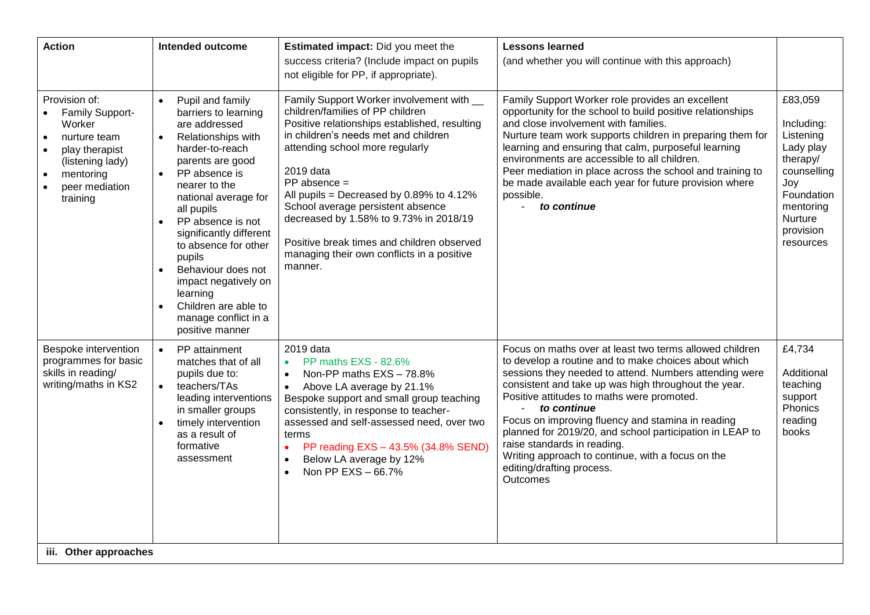| <b>Action</b>                                                                                                                                                                                   | <b>Intended outcome</b>                                                                                                                                                                                                                                                                                                                                                                                                                                                                     | Estimated impact: Did you meet the                                                                                                                                                                                                                                                                                                                                                                                                                                         | <b>Lessons learned</b>                                                                                                                                                                                                                                                                                                                                                                                                                                                                                                                       |                                                                                                                                                   |
|-------------------------------------------------------------------------------------------------------------------------------------------------------------------------------------------------|---------------------------------------------------------------------------------------------------------------------------------------------------------------------------------------------------------------------------------------------------------------------------------------------------------------------------------------------------------------------------------------------------------------------------------------------------------------------------------------------|----------------------------------------------------------------------------------------------------------------------------------------------------------------------------------------------------------------------------------------------------------------------------------------------------------------------------------------------------------------------------------------------------------------------------------------------------------------------------|----------------------------------------------------------------------------------------------------------------------------------------------------------------------------------------------------------------------------------------------------------------------------------------------------------------------------------------------------------------------------------------------------------------------------------------------------------------------------------------------------------------------------------------------|---------------------------------------------------------------------------------------------------------------------------------------------------|
|                                                                                                                                                                                                 |                                                                                                                                                                                                                                                                                                                                                                                                                                                                                             | success criteria? (Include impact on pupils                                                                                                                                                                                                                                                                                                                                                                                                                                | (and whether you will continue with this approach)                                                                                                                                                                                                                                                                                                                                                                                                                                                                                           |                                                                                                                                                   |
|                                                                                                                                                                                                 |                                                                                                                                                                                                                                                                                                                                                                                                                                                                                             | not eligible for PP, if appropriate).                                                                                                                                                                                                                                                                                                                                                                                                                                      |                                                                                                                                                                                                                                                                                                                                                                                                                                                                                                                                              |                                                                                                                                                   |
| Provision of:<br>Family Support-<br>Worker<br>nurture team<br>$\bullet$<br>play therapist<br>$\bullet$<br>(listening lady)<br>mentoring<br>$\bullet$<br>peer mediation<br>$\bullet$<br>training | Pupil and family<br>$\bullet$<br>barriers to learning<br>are addressed<br>Relationships with<br>$\bullet$<br>harder-to-reach<br>parents are good<br>PP absence is<br>$\bullet$<br>nearer to the<br>national average for<br>all pupils<br>PP absence is not<br>$\bullet$<br>significantly different<br>to absence for other<br>pupils<br>Behaviour does not<br>$\bullet$<br>impact negatively on<br>learning<br>Children are able to<br>$\bullet$<br>manage conflict in a<br>positive manner | Family Support Worker involvement with __<br>children/families of PP children<br>Positive relationships established, resulting<br>in children's needs met and children<br>attending school more regularly<br>2019 data<br>$PP$ absence =<br>All pupils = Decreased by 0.89% to 4.12%<br>School average persistent absence<br>decreased by 1.58% to 9.73% in 2018/19<br>Positive break times and children observed<br>managing their own conflicts in a positive<br>manner. | Family Support Worker role provides an excellent<br>opportunity for the school to build positive relationships<br>and close involvement with families.<br>Nurture team work supports children in preparing them for<br>learning and ensuring that calm, purposeful learning<br>environments are accessible to all children.<br>Peer mediation in place across the school and training to<br>be made available each year for future provision where<br>possible.<br>to continue                                                               | £83,059<br>Including:<br>Listening<br>Lady play<br>therapy/<br>counselling<br>Joy<br>Foundation<br>mentoring<br>Nurture<br>provision<br>resources |
| Bespoke intervention<br>programmes for basic<br>skills in reading/<br>writing/maths in KS2                                                                                                      | PP attainment<br>$\bullet$<br>matches that of all<br>pupils due to:<br>teachers/TAs<br>$\bullet$<br>leading interventions<br>in smaller groups<br>timely intervention<br>$\bullet$<br>as a result of<br>formative<br>assessment                                                                                                                                                                                                                                                             | 2019 data<br>PP maths EXS - 82.6%<br>Non-PP maths EXS - 78.8%<br>Above LA average by 21.1%<br>Bespoke support and small group teaching<br>consistently, in response to teacher-<br>assessed and self-assessed need, over two<br>terms<br>PP reading EXS - 43.5% (34.8% SEND)<br>Below LA average by 12%<br>$\bullet$<br>Non PP EXS - 66.7%                                                                                                                                 | Focus on maths over at least two terms allowed children<br>to develop a routine and to make choices about which<br>sessions they needed to attend. Numbers attending were<br>consistent and take up was high throughout the year.<br>Positive attitudes to maths were promoted.<br>to continue<br>Focus on improving fluency and stamina in reading<br>planned for 2019/20, and school participation in LEAP to<br>raise standards in reading.<br>Writing approach to continue, with a focus on the<br>editing/drafting process.<br>Outcomes | £4,734<br>Additional<br>teaching<br>support<br>Phonics<br>reading<br>books                                                                        |
| iii. Other approaches                                                                                                                                                                           |                                                                                                                                                                                                                                                                                                                                                                                                                                                                                             |                                                                                                                                                                                                                                                                                                                                                                                                                                                                            |                                                                                                                                                                                                                                                                                                                                                                                                                                                                                                                                              |                                                                                                                                                   |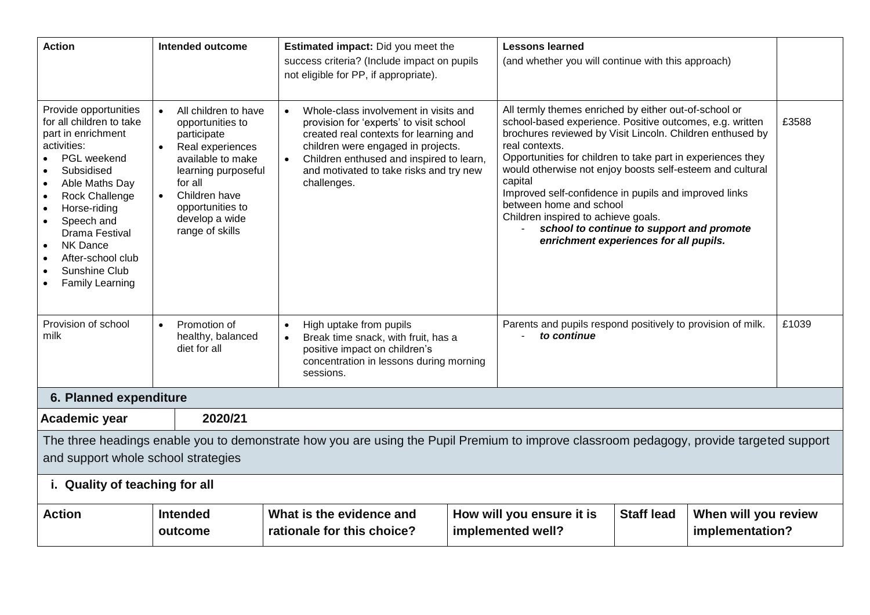| <b>Action</b>                                                                                                                                                                                                                                                                                                                                                                                       | <b>Intended outcome</b>                                                                                                                                                                                                                             | Estimated impact: Did you meet the<br>success criteria? (Include impact on pupils<br>not eligible for PP, if appropriate).                                                                                                                                             |  | <b>Lessons learned</b><br>(and whether you will continue with this approach)                                                                                                                                                                                                                                                                                                                                                                                                                                                                              |                   |                                         |       |
|-----------------------------------------------------------------------------------------------------------------------------------------------------------------------------------------------------------------------------------------------------------------------------------------------------------------------------------------------------------------------------------------------------|-----------------------------------------------------------------------------------------------------------------------------------------------------------------------------------------------------------------------------------------------------|------------------------------------------------------------------------------------------------------------------------------------------------------------------------------------------------------------------------------------------------------------------------|--|-----------------------------------------------------------------------------------------------------------------------------------------------------------------------------------------------------------------------------------------------------------------------------------------------------------------------------------------------------------------------------------------------------------------------------------------------------------------------------------------------------------------------------------------------------------|-------------------|-----------------------------------------|-------|
| Provide opportunities<br>for all children to take<br>part in enrichment<br>activities:<br>PGL weekend<br>Subsidised<br>$\bullet$<br>Able Maths Day<br>$\bullet$<br><b>Rock Challenge</b><br>$\bullet$<br>Horse-riding<br>$\bullet$<br>Speech and<br><b>Drama Festival</b><br><b>NK Dance</b><br>$\bullet$<br>After-school club<br>Sunshine Club<br>$\bullet$<br><b>Family Learning</b><br>$\bullet$ | All children to have<br>$\bullet$<br>opportunities to<br>participate<br>Real experiences<br>$\bullet$<br>available to make<br>learning purposeful<br>for all<br>Children have<br>$\bullet$<br>opportunities to<br>develop a wide<br>range of skills | Whole-class involvement in visits and<br>provision for 'experts' to visit school<br>created real contexts for learning and<br>children were engaged in projects.<br>Children enthused and inspired to learn,<br>and motivated to take risks and try new<br>challenges. |  | All termly themes enriched by either out-of-school or<br>school-based experience. Positive outcomes, e.g. written<br>brochures reviewed by Visit Lincoln. Children enthused by<br>real contexts.<br>Opportunities for children to take part in experiences they<br>would otherwise not enjoy boosts self-esteem and cultural<br>capital<br>Improved self-confidence in pupils and improved links<br>between home and school<br>Children inspired to achieve goals.<br>school to continue to support and promote<br>enrichment experiences for all pupils. |                   |                                         | £3588 |
| Provision of school<br>milk                                                                                                                                                                                                                                                                                                                                                                         | Promotion of<br>$\bullet$<br>healthy, balanced<br>diet for all                                                                                                                                                                                      | High uptake from pupils<br>$\bullet$<br>Break time snack, with fruit, has a<br>positive impact on children's<br>concentration in lessons during morning<br>sessions.                                                                                                   |  | Parents and pupils respond positively to provision of milk.<br>to continue                                                                                                                                                                                                                                                                                                                                                                                                                                                                                |                   |                                         | £1039 |
| 6. Planned expenditure                                                                                                                                                                                                                                                                                                                                                                              |                                                                                                                                                                                                                                                     |                                                                                                                                                                                                                                                                        |  |                                                                                                                                                                                                                                                                                                                                                                                                                                                                                                                                                           |                   |                                         |       |
| Academic year                                                                                                                                                                                                                                                                                                                                                                                       | 2020/21                                                                                                                                                                                                                                             |                                                                                                                                                                                                                                                                        |  |                                                                                                                                                                                                                                                                                                                                                                                                                                                                                                                                                           |                   |                                         |       |
| The three headings enable you to demonstrate how you are using the Pupil Premium to improve classroom pedagogy, provide targeted support<br>and support whole school strategies                                                                                                                                                                                                                     |                                                                                                                                                                                                                                                     |                                                                                                                                                                                                                                                                        |  |                                                                                                                                                                                                                                                                                                                                                                                                                                                                                                                                                           |                   |                                         |       |
|                                                                                                                                                                                                                                                                                                                                                                                                     | i. Quality of teaching for all                                                                                                                                                                                                                      |                                                                                                                                                                                                                                                                        |  |                                                                                                                                                                                                                                                                                                                                                                                                                                                                                                                                                           |                   |                                         |       |
| <b>Action</b>                                                                                                                                                                                                                                                                                                                                                                                       | <b>Intended</b><br>outcome                                                                                                                                                                                                                          | What is the evidence and<br>rationale for this choice?                                                                                                                                                                                                                 |  | How will you ensure it is<br>implemented well?                                                                                                                                                                                                                                                                                                                                                                                                                                                                                                            | <b>Staff lead</b> | When will you review<br>implementation? |       |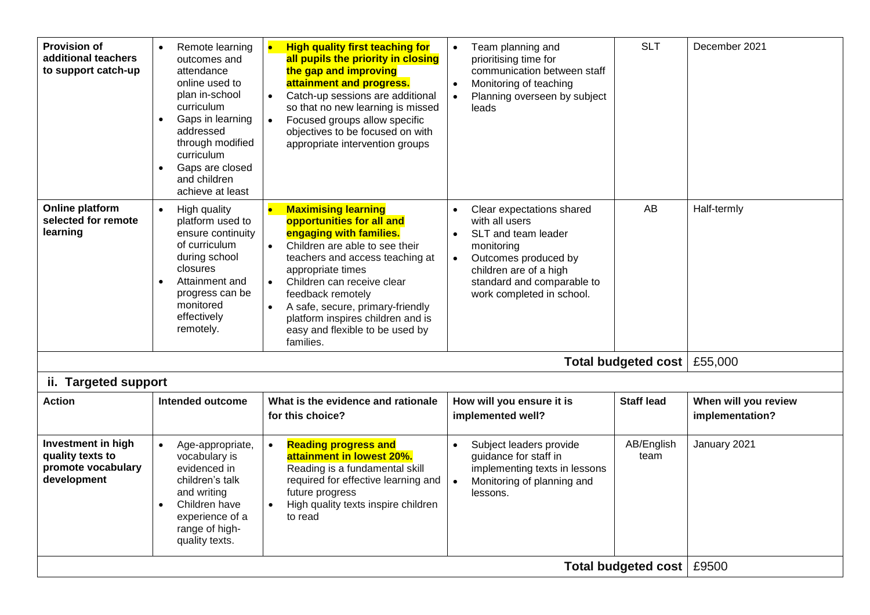| <b>Provision of</b><br>additional teachers<br>to support catch-up           | Remote learning<br>$\bullet$<br>outcomes and<br>attendance<br>online used to<br>plan in-school<br>curriculum<br>Gaps in learning<br>$\bullet$<br>addressed<br>through modified<br>curriculum<br>Gaps are closed<br>and children<br>achieve at least | $\bullet$<br><b>High quality first teaching for</b><br>all pupils the priority in closing<br>the gap and improving<br>attainment and progress.<br>Catch-up sessions are additional<br>$\bullet$<br>so that no new learning is missed<br>Focused groups allow specific<br>objectives to be focused on with<br>appropriate intervention groups                          | Team planning and<br>$\bullet$<br>prioritising time for<br>communication between staff<br>Monitoring of teaching<br>Planning overseen by subject<br>leads                                                               | <b>SLT</b>                 | December 2021                           |
|-----------------------------------------------------------------------------|-----------------------------------------------------------------------------------------------------------------------------------------------------------------------------------------------------------------------------------------------------|-----------------------------------------------------------------------------------------------------------------------------------------------------------------------------------------------------------------------------------------------------------------------------------------------------------------------------------------------------------------------|-------------------------------------------------------------------------------------------------------------------------------------------------------------------------------------------------------------------------|----------------------------|-----------------------------------------|
| <b>Online platform</b><br>selected for remote<br>learning                   | High quality<br>$\bullet$<br>platform used to<br>ensure continuity<br>of curriculum<br>during school<br>closures<br>Attainment and<br>progress can be<br>monitored<br>effectively<br>remotely.                                                      | <b>Maximising learning</b><br>opportunities for all and<br>engaging with families.<br>Children are able to see their<br>teachers and access teaching at<br>appropriate times<br>Children can receive clear<br>feedback remotely<br>A safe, secure, primary-friendly<br>$\bullet$<br>platform inspires children and is<br>easy and flexible to be used by<br>families. | Clear expectations shared<br>$\bullet$<br>with all users<br>SLT and team leader<br>$\bullet$<br>monitoring<br>Outcomes produced by<br>children are of a high<br>standard and comparable to<br>work completed in school. | AB                         | Half-termly                             |
|                                                                             |                                                                                                                                                                                                                                                     |                                                                                                                                                                                                                                                                                                                                                                       |                                                                                                                                                                                                                         | <b>Total budgeted cost</b> | £55,000                                 |
| ii. Targeted support                                                        |                                                                                                                                                                                                                                                     |                                                                                                                                                                                                                                                                                                                                                                       |                                                                                                                                                                                                                         |                            |                                         |
| <b>Action</b>                                                               | <b>Intended outcome</b>                                                                                                                                                                                                                             | What is the evidence and rationale<br>for this choice?                                                                                                                                                                                                                                                                                                                | How will you ensure it is<br>implemented well?                                                                                                                                                                          | <b>Staff lead</b>          | When will you review<br>implementation? |
| Investment in high<br>quality texts to<br>promote vocabulary<br>development | Age-appropriate,<br>vocabulary is<br>evidenced in<br>children's talk<br>and writing<br>Children have<br>experience of a<br>range of high-<br>quality texts.                                                                                         | <b>Reading progress and</b><br>attainment in lowest 20%.<br>Reading is a fundamental skill<br>required for effective learning and<br>future progress<br>High quality texts inspire children<br>to read                                                                                                                                                                | Subject leaders provide<br>$\bullet$<br>guidance for staff in<br>implementing texts in lessons<br>Monitoring of planning and<br>lessons.                                                                                | AB/English<br>team         | January 2021                            |
|                                                                             | Total budgeted cost   £9500                                                                                                                                                                                                                         |                                                                                                                                                                                                                                                                                                                                                                       |                                                                                                                                                                                                                         |                            |                                         |